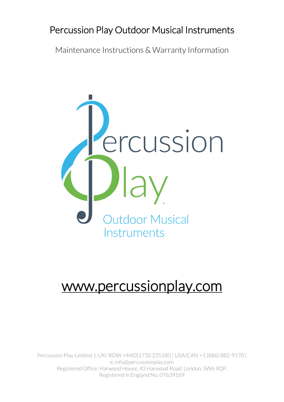## Percussion Play Outdoor Musical Instruments

Maintenance Instructions & Warranty Information



# www.percussionplay.com

Percussion Play Limited. t. UK/ ROW +44(0)1730 235180 | USA/CAN +1 (886) 882-9170 | e. info@percussionplay.com Registered Office: Harwood House, 43 Harwood Road, London, SW6 4QP. Registered in England No. 07639169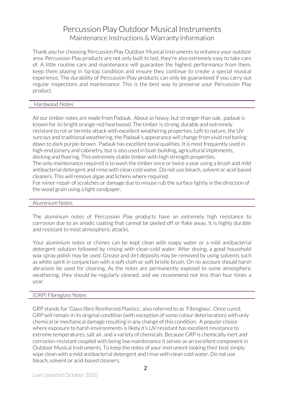Thank you for choosing Percussion Play Outdoor Musical Instruments to enhance your outdoor area. Percussion Play products are not only built to last, they're also extremely easy to take care of. A little routine care and maintenance will guarantee the highest performance from them, keep them playing in tip-top condition and ensure they continue to create a special musical experience. The durability of Percussion Play products can only be guaranteed if you carry out regular inspections and maintenance. This is the best way to preserve your Percussion Play product.

### Hardwood Notes

All our timber notes are made from Padauk. About as heavy, but stronger than oak, padauk is known for its bright orange-red heartwood. The timber is strong, durable and extremely resistant to rot or termite attack with excellent weathering properties. Left to nature, the UV sunrays and traditional weathering, the Padauk's appearance will change from vivid red toning down to dark purple-brown. Padauk has excellent tonal qualities. It is most frequently used in high-end joinery and cabinetry, but is also used in boat-building, agricultural implements, decking and flooring. This extremely stable timber with high strength properties.

The only maintenance required is to wash the timber once or twice a year using a brush and mild antibacterial detergent and rinse with clean cold water. Do not use bleach, solvent or acid-based cleaners. This will remove algae and lichens where required.

For minor repair of scratches or damage due to misuse rub the surface lightly in the direction of the wood grain using a light sandpaper.

### Aluminium Notes

The aluminium notes of Percussion Play products have an extremely high resistance to corrosion due to an anodic coating that cannot be peeled off or flake away. It is highly durable and resistant to most atmospheric attacks.

Your aluminium notes or chimes can be kept clean with soapy water or a mild antibacterial detergent solution followed by rinsing with clean cold water. After drying, a good household wax spray polish may be used. Grease and dirt deposits may be removed by using solvents such as white spirit in conjunction with a soft cloth or soft bristle brush. On no account should harsh abrasives be used for cleaning. As the notes are permanently exposed to some atmospheric weathering, they should be regularly cleaned, and we recommend not less than four times a year.

### (GRP) Fibreglass Notes

GRP stands for 'Glass fibre Reinforced Plastics', also referred to as 'Fibreglass'. Once cured, GRP will remain in its original condition (with exception of some colour deterioration) with only chemical or mechanical damage resulting in any change of this condition. A popular choice where exposure to harsh environments is likely it's UV resistant has excellent resistance to extreme temperatures, salt air, and a variety of chemicals. Because GRP is chemically inert and corrosion-resistant coupled with being low maintenance it serves as an excellent component in Outdoor Musical Instruments. To keep the notes of your instrument looking their best simply wipe clean with a mild antibacterial detergent and rinse with clean cold water. Do not use bleach, solvent or acid-based cleaners.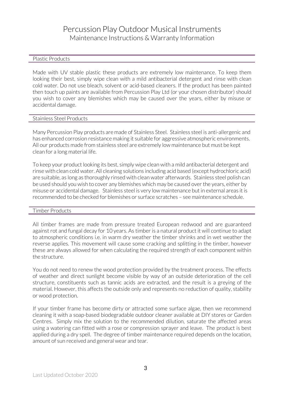### Plastic Products

Made with UV stable plastic these products are extremely low maintenance. To keep them looking their best, simply wipe clean with a mild antibacterial detergent and rinse with clean cold water. Do not use bleach, solvent or acid-based cleaners. If the product has been painted then touch up paints are available from Percussion Play Ltd (or your chosen distributor) should you wish to cover any blemishes which may be caused over the years, either by misuse or accidental damage.

### Stainless Steel Products

Many Percussion Play products are made of Stainless Steel. Stainless steel is anti-allergenic and has enhanced corrosion resistance making it suitable for aggressive atmospheric environments. All our products made from stainless steel are extremely low maintenance but must be kept clean for a long material life.

To keep your product looking its best, simply wipe clean with a mild antibacterial detergent and rinse with clean cold water. All cleaning solutions including acid based (except hydrochloric acid) are suitable, as long as thoroughly rinsed with clean water afterwards. Stainless steel polish can be used should you wish to cover any blemishes which may be caused over the years, either by misuse or accidental damage. Stainless steel is very low maintenance but in external areas it is recommended to be checked for blemishes or surface scratches – see maintenance schedule.

### Timber Products

All timber frames are made from pressure treated European redwood and are guaranteed against rot and fungal decay for 10 years. As timber is a natural product it will continue to adapt to atmospheric conditions i.e. in warm dry weather the timber shrinks and in wet weather the reverse applies. This movement will cause some cracking and splitting in the timber, however these are always allowed for when calculating the required strength of each component within the structure.

You do not need to renew the wood protection provided by the treatment process. The effects of weather and direct sunlight become visible by way of an outside deterioration of the cell structure, constituents such as tannic acids are extracted, and the result is a greying of the material. However, this affects the outside only and represents no reduction of quality, stability or wood protection.

If your timber frame has become dirty or attracted some surface algae, then we recommend cleaning it with a soap-based biodegradable outdoor cleaner available at DIY stores or Garden Centres. Simply mix the solution to the recommended dilution, saturate the affected areas using a watering can fitted with a rose or compression sprayer and leave. The product is best applied during a dry spell. The degree of timber maintenance required depends on the location, amount of sun received and general wear and tear.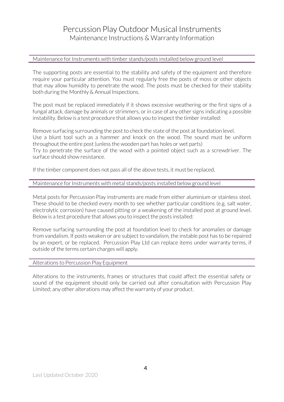### Maintenance for Instruments with timber stands/posts installed below ground level

The supporting posts are essential to the stability and safety of the equipment and therefore require your particular attention. You must regularly free the posts of moss or other objects that may allow humidity to penetrate the wood. The posts must be checked for their stability both during the Monthly & Annual Inspections.

The post must be replaced immediately if it shows excessive weathering or the first signs of a fungal attack, damage by animals or strimmers, or in case of any other signs indicating a possible instability. Below is a test procedure that allows you to inspect the timber installed:

Remove surfacing surrounding the post to check the state of the post at foundation level. Use a blunt tool such as a hammer and knock on the wood. The sound must be uniform throughout the entire post (unless the wooden part has holes or wet parts) Try to penetrate the surface of the wood with a pointed object such as a screwdriver. The surface should show resistance.

If the timber component does not pass all of the above tests, it must be replaced.

### Maintenance for Instruments with metal stands/posts installed below ground level

Metal posts for Percussion Play instruments are made from either aluminium or stainless steel. These should to be checked every month to see whether particular conditions (e.g. salt water, electrolytic corrosion) have caused pitting or a weakening of the installed post at ground level. Below is a test procedure that allows you to inspect the posts installed:

Remove surfacing surrounding the post at foundation level to check for anomalies or damage from vandalism. If posts weaken or are subject to vandalism, the instable post has to be repaired by an expert, or be replaced. Percussion Play Ltd can replace items under warranty terms, if outside of the terms certain charges will apply.

### Alterations to Percussion Play Equipment

Alterations to the instruments, frames or structures that could affect the essential safety or sound of the equipment should only be carried out after consultation with Percussion Play Limited; any other alterations may affect the warranty of your product.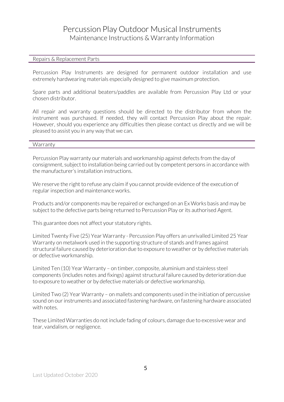### Repairs & Replacement Parts

Percussion Play Instruments are designed for permanent outdoor installation and use extremely hardwearing materials especially designed to give maximum protection.

Spare parts and additional beaters/paddles are available from Percussion Play Ltd or your chosen distributor.

All repair and warranty questions should be directed to the distributor from whom the instrument was purchased. If needed, they will contact Percussion Play about the repair. However, should you experience any difficulties then please contact us directly and we will be pleased to assist you in any way that we can.

#### **Warranty**

Percussion Play warranty our materials and workmanship against defects from the day of consignment, subject to installation being carried out by competent persons in accordance with the manufacturer's installation instructions.

We reserve the right to refuse any claim if you cannot provide evidence of the execution of regular inspection and maintenance works.

Products and/or components may be repaired or exchanged on an Ex Works basis and may be subject to the defective parts being returned to Percussion Play or its authorised Agent.

This guarantee does not affect your statutory rights.

Limited Twenty Five (25) Year Warranty - Percussion Play offers an unrivalled Limited 25 Year Warranty on metalwork used in the supporting structure of stands and frames against structural failure caused by deterioration due to exposure to weather or by defective materials or defective workmanship.

Limited Ten (10) Year Warranty – on timber, composite, aluminium and stainless steel components (includes notes and fixings) against structural failure caused by deterioration due to exposure to weather or by defective materials or defective workmanship.

Limited Two (2) Year Warranty – on mallets and components used in the initiation of percussive sound on our instruments and associated fastening hardware, on fastening hardware associated with notes.

These Limited Warranties do not include fading of colours, damage due to excessive wear and tear, vandalism, or negligence.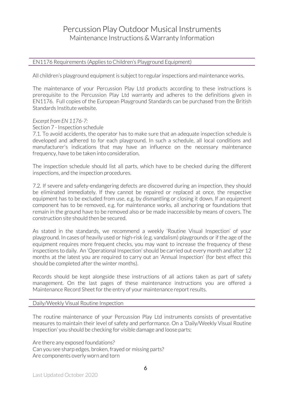### EN1176 Requirements (Applies to Children's Playground Equipment)

All children's playground equipment is subject to regular inspections and maintenance works.

The maintenance of your Percussion Play Ltd products according to these instructions is prerequisite to the Percussion Play Ltd warranty and adheres to the definitions given in EN1176. Full copies of the European Playground Standards can be purchased from the British Standards Institute website.

### *Excerpt from EN 1176-7:*

### Section 7 - Inspection schedule

7.1. To avoid accidents, the operator has to make sure that an adequate inspection schedule is developed and adhered to for each playground. In such a schedule, all local conditions and manufacturer's indications that may have an influence on the necessary maintenance frequency, have to be taken into consideration.

The inspection schedule should list all parts, which have to be checked during the different inspections, and the inspection procedures.

7.2. If severe and safety-endangering defects are discovered during an inspection, they should be eliminated immediately. If they cannot be repaired or replaced at once, the respective equipment has to be excluded from use, e.g. by dismantling or closing it down. If an equipment component has to be removed, e.g. for maintenance works, all anchoring or foundations that remain in the ground have to be removed also or be made inaccessible by means of covers. The construction site should then be secured.

As stated in the standards, we recommend a weekly 'Routine Visual Inspection' of your playground. In cases of heavily used or high-risk (e.g. vandalism) playgrounds or if the age of the equipment requires more frequent checks, you may want to increase the frequency of these inspections to daily. An 'Operational Inspection' should be carried out every month and after 12 months at the latest you are required to carry out an 'Annual Inspection' (for best effect this should be completed after the winter months).

Records should be kept alongside these instructions of all actions taken as part of safety management. On the last pages of these maintenance instructions you are offered a Maintenance Record Sheet for the entry of your maintenance report results.

### Daily/Weekly Visual Routine Inspection

The routine maintenance of your Percussion Play Ltd instruments consists of preventative measures to maintain their level of safety and performance. On a 'Daily/Weekly Visual Routine Inspection' you should be checking for visible damage and loose parts;

Are there any exposed foundations? Can you see sharp edges, broken, frayed or missing parts? Are components overly worn and torn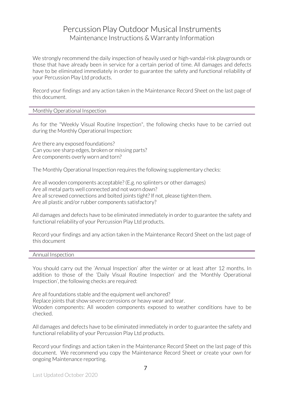We strongly recommend the daily inspection of heavily used or high-vandal-risk playgrounds or those that have already been in service for a certain period of time. All damages and defects have to be eliminated immediately in order to guarantee the safety and functional reliability of your Percussion Play Ltd products.

Record your findings and any action taken in the Maintenance Record Sheet on the last page of this document.

#### Monthly Operational Inspection

As for the "Weekly Visual Routine Inspection", the following checks have to be carried out during the Monthly Operational Inspection:

Are there any exposed foundations? Can you see sharp edges, broken or missing parts? Are components overly worn and torn?

The Monthly Operational Inspection requires the following supplementary checks:

Are all wooden components acceptable? (E.g. no splinters or other damages) Are all metal parts well connected and not worn down? Are all screwed connections and bolted joints tight? If not, please tighten them. Are all plastic and/or rubber components satisfactory?

All damages and defects have to be eliminated immediately in order to guarantee the safety and functional reliability of your Percussion Play Ltd products.

Record your findings and any action taken in the Maintenance Record Sheet on the last page of this document

#### Annual Inspection

You should carry out the 'Annual Inspection' after the winter or at least after 12 months. In addition to those of the 'Daily Visual Routine Inspection' and the 'Monthly Operational Inspection', the following checks are required:

Are all foundations stable and the equipment well anchored?

Replace joints that show severe corrosions or heavy wear and tear.

Wooden components: All wooden components exposed to weather conditions have to be checked.

All damages and defects have to be eliminated immediately in order to guarantee the safety and functional reliability of your Percussion Play Ltd products.

Record your findings and action taken in the Maintenance Record Sheet on the last page of this document. We recommend you copy the Maintenance Record Sheet or create your own for ongoing Maintenance reporting.